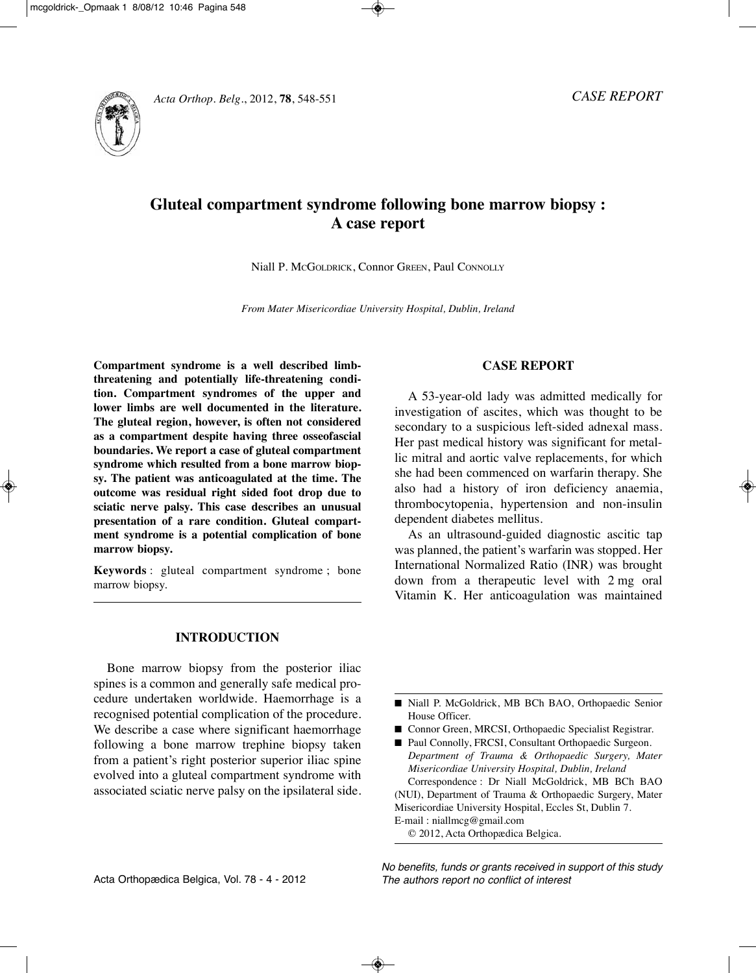

# **Gluteal compartment syndrome following bone marrow biopsy : A case report**

Niall P. MCGOlDRICk, Connor GREEN, Paul CONNOlly

*From Mater Misericordiae University Hospital, Dublin, Ireland*

**Compartment syndrome is a well described limbthreatening and potentially life-threatening condition. Compartment syndromes of the upper and lower limbs are well documented in the literature. The gluteal region, however, is often not considered as a compartment despite having three osseofascial boundaries. We report a case of gluteal compartment syndrome which resulted from a bone marrow biopsy. The patient was anticoagulated at the time. The outcome was residual right sided foot drop due to sciatic nerve palsy. This case describes an unusual presentation of a rare condition. Gluteal compartment syndrome is a potential complication of bone marrow biopsy.**

**Keywords** : gluteal compartment syndrome ; bone marrow biopsy.

## **INTRODUCTION**

Bone marrow biopsy from the posterior iliac spines is a common and generally safe medical procedure undertaken worldwide. Haemorrhage is a recognised potential complication of the procedure. We describe a case where significant haemorrhage following a bone marrow trephine biopsy taken from a patient's right posterior superior iliac spine evolved into a gluteal compartment syndrome with associated sciatic nerve palsy on the ipsilateral side.

## **CASE REPORT**

A 53-year-old lady was admitted medically for investigation of ascites, which was thought to be secondary to a suspicious left-sided adnexal mass. Her past medical history was significant for metallic mitral and aortic valve replacements, for which she had been commenced on warfarin therapy. She also had a history of iron deficiency anaemia, thrombocytopenia, hypertension and non-insulin dependent diabetes mellitus.

As an ultrasound-guided diagnostic ascitic tap was planned, the patient's warfarin was stopped. Her International Normalized Ratio (INR) was brought down from a therapeutic level with 2 mg oral Vitamin k. Her anticoagulation was maintained

- Niall P. McGoldrick, MB BCh BAO, Orthopaedic Senior House Officer.
- Connor Green, MRCSI, Orthopaedic Specialist Registrar.

■ Paul Connolly, FRCSI, Consultant Orthopaedic Surgeon. *Department of Trauma & Orthopaedic Surgery, Mater Misericordiae University Hospital, Dublin, Ireland* Correspondence : Dr Niall McGoldrick, MB BCh BAO (NUI), Department of Trauma & Orthopaedic Surgery, Mater Misericordiae University Hospital, Eccles St, Dublin 7.

E-mail : niallmcg@gmail.com

© 2012, Acta Orthopædica Belgica.

No benefits, funds or grants received in support of this study The authors report no conflict of interest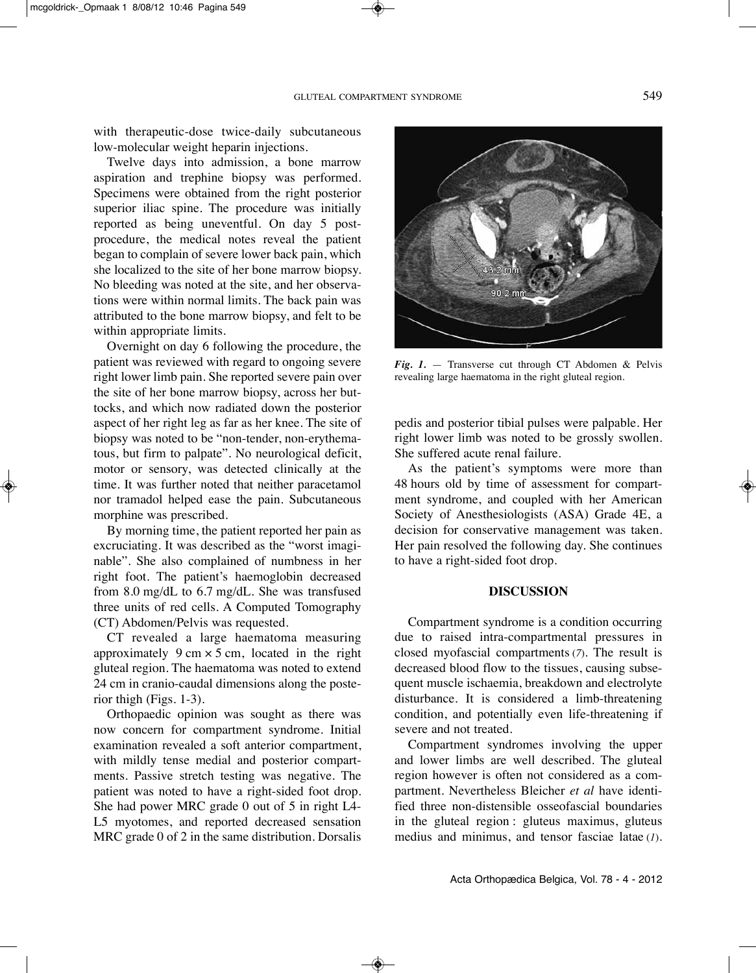with therapeutic-dose twice-daily subcutaneous low-molecular weight heparin injections.

Twelve days into admission, a bone marrow aspiration and trephine biopsy was performed. Specimens were obtained from the right posterior superior iliac spine. The procedure was initially reported as being uneventful. On day 5 postprocedure, the medical notes reveal the patient began to complain of severe lower back pain, which she localized to the site of her bone marrow biopsy. No bleeding was noted at the site, and her observations were within normal limits. The back pain was attributed to the bone marrow biopsy, and felt to be within appropriate limits.

Overnight on day 6 following the procedure, the patient was reviewed with regard to ongoing severe right lower limb pain. She reported severe pain over the site of her bone marrow biopsy, across her buttocks, and which now radiated down the posterior aspect of her right leg as far as her knee. The site of biopsy was noted to be "non-tender, non-erythematous, but firm to palpate". No neurological deficit, motor or sensory, was detected clinically at the time. It was further noted that neither paracetamol nor tramadol helped ease the pain. Subcutaneous morphine was prescribed.

By morning time, the patient reported her pain as excruciating. It was described as the "worst imaginable". She also complained of numbness in her right foot. The patient's haemoglobin decreased from 8.0 mg/dL to 6.7 mg/dL. She was transfused three units of red cells. A Computed Tomography (CT) Abdomen/Pelvis was requested.

CT revealed a large haematoma measuring approximately  $9 \text{ cm} \times 5 \text{ cm}$ , located in the right gluteal region. The haematoma was noted to extend 24 cm in cranio-caudal dimensions along the posterior thigh (Figs. 1-3).

Orthopaedic opinion was sought as there was now concern for compartment syndrome. Initial examination revealed a soft anterior compartment, with mildly tense medial and posterior compartments. Passive stretch testing was negative. The patient was noted to have a right-sided foot drop. She had power MRC grade 0 out of 5 in right l4- L5 myotomes, and reported decreased sensation MRC grade 0 of 2 in the same distribution. Dorsalis



*Fig. 1.* — Transverse cut through CT Abdomen & Pelvis revealing large haematoma in the right gluteal region.

pedis and posterior tibial pulses were palpable. Her right lower limb was noted to be grossly swollen. She suffered acute renal failure.

As the patient's symptoms were more than 48 hours old by time of assessment for compartment syndrome, and coupled with her American Society of Anesthesiologists (ASA) Grade 4E, a decision for conservative management was taken. Her pain resolved the following day. She continues to have a right-sided foot drop.

### **DISCUSSION**

Compartment syndrome is a condition occurring due to raised intra-compartmental pressures in closed myofascial compartments (*7*). The result is decreased blood flow to the tissues, causing subsequent muscle ischaemia, breakdown and electrolyte disturbance. It is considered a limb-threatening condition, and potentially even life-threatening if severe and not treated.

Compartment syndromes involving the upper and lower limbs are well described. The gluteal region however is often not considered as a compartment. Nevertheless Bleicher *et al* have identified three non-distensible osseofascial boundaries in the gluteal region : gluteus maximus, gluteus medius and minimus, and tensor fasciae latae (*1*).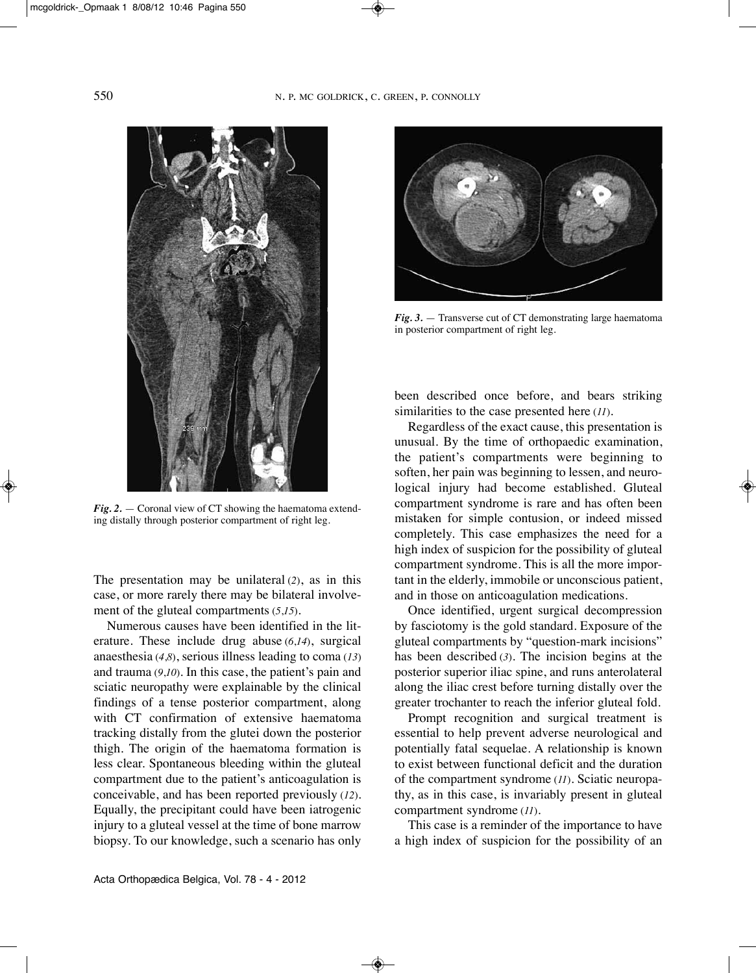

*Fig. 2.* — Coronal view of CT showing the haematoma extending distally through posterior compartment of right leg.

The presentation may be unilateral (*2*), as in this case, or more rarely there may be bilateral involvement of the gluteal compartments (*5*,*15*).

Numerous causes have been identified in the literature. These include drug abuse (*6*,*14*), surgical anaesthesia (*4*,*8*), serious illness leading to coma (*13*) and trauma (*9*,*10*). In this case, the patient's pain and sciatic neuropathy were explainable by the clinical findings of a tense posterior compartment, along with CT confirmation of extensive haematoma tracking distally from the glutei down the posterior thigh. The origin of the haematoma formation is less clear. Spontaneous bleeding within the gluteal compartment due to the patient's anticoagulation is conceivable, and has been reported previously (*12*). Equally, the precipitant could have been iatrogenic injury to a gluteal vessel at the time of bone marrow biopsy. To our knowledge, such a scenario has only



*Fig. 3.* — Transverse cut of CT demonstrating large haematoma in posterior compartment of right leg.

been described once before, and bears striking similarities to the case presented here (*11*).

Regardless of the exact cause, this presentation is unusual. By the time of orthopaedic examination, the patient's compartments were beginning to soften, her pain was beginning to lessen, and neurological injury had become established. Gluteal compartment syndrome is rare and has often been mistaken for simple contusion, or indeed missed completely. This case emphasizes the need for a high index of suspicion for the possibility of gluteal compartment syndrome. This is all the more important in the elderly, immobile or unconscious patient, and in those on anticoagulation medications.

Once identified, urgent surgical decompression by fasciotomy is the gold standard. Exposure of the gluteal compartments by "question-mark incisions" has been described (*3*). The incision begins at the posterior superior iliac spine, and runs anterolateral along the iliac crest before turning distally over the greater trochanter to reach the inferior gluteal fold.

Prompt recognition and surgical treatment is essential to help prevent adverse neurological and potentially fatal sequelae. A relationship is known to exist between functional deficit and the duration of the compartment syndrome (*11*). Sciatic neuropathy, as in this case, is invariably present in gluteal compartment syndrome (*11*).

This case is a reminder of the importance to have a high index of suspicion for the possibility of an